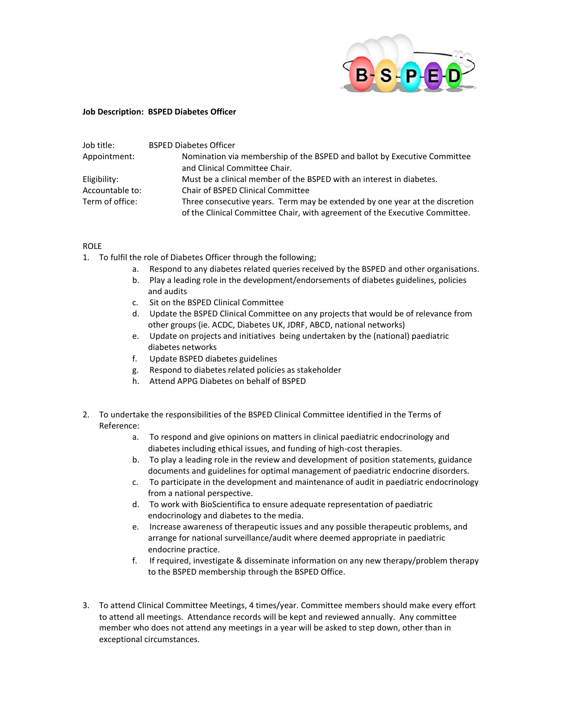

## **Job Description: BSPED Diabetes Officer**

| Job title:      | <b>BSPED Diabetes Officer</b>                                               |
|-----------------|-----------------------------------------------------------------------------|
| Appointment:    | Nomination via membership of the BSPED and ballot by Executive Committee    |
|                 | and Clinical Committee Chair.                                               |
| Eligibility:    | Must be a clinical member of the BSPED with an interest in diabetes.        |
| Accountable to: | Chair of BSPED Clinical Committee                                           |
| Term of office: | Three consecutive years. Term may be extended by one year at the discretion |
|                 | of the Clinical Committee Chair, with agreement of the Executive Committee. |

## ROLE

- 1. To fulfil the role of Diabetes Officer through the following;
	- a. Respond to any diabetes related queries received by the BSPED and other organisations.
	- b. Play a leading role in the development/endorsements of diabetes guidelines, policies and audits
	- c. Sit on the BSPED Clinical Committee
	- d. Update the BSPED Clinical Committee on any projects that would be of relevance from other groups (ie. ACDC, Diabetes UK, JDRF, ABCD, national networks)
	- e. Update on projects and initiatives being undertaken by the (national) paediatric diabetes networks
	- f. Update BSPED diabetes guidelines
	- g. Respond to diabetes related policies as stakeholder
	- h. Attend APPG Diabetes on behalf of BSPED
- 2. To undertake the responsibilities of the BSPED Clinical Committee identified in the Terms of Reference:
	- a. To respond and give opinions on matters in clinical paediatric endocrinology and diabetes including ethical issues, and funding of high-cost therapies.
	- b. To play a leading role in the review and development of position statements, guidance documents and guidelines for optimal management of paediatric endocrine disorders.
	- c. To participate in the development and maintenance of audit in paediatric endocrinology from a national perspective.
	- d. To work with BioScientifica to ensure adequate representation of paediatric endocrinology and diabetes to the media.
	- e. Increase awareness of therapeutic issues and any possible therapeutic problems, and arrange for national surveillance/audit where deemed appropriate in paediatric endocrine practice.
	- f. If required, investigate & disseminate information on any new therapy/problem therapy to the BSPED membership through the BSPED Office.
- 3. To attend Clinical Committee Meetings, 4 times/year. Committee members should make every effort to attend all meetings. Attendance records will be kept and reviewed annually. Any committee member who does not attend any meetings in a year will be asked to step down, other than in exceptional circumstances.